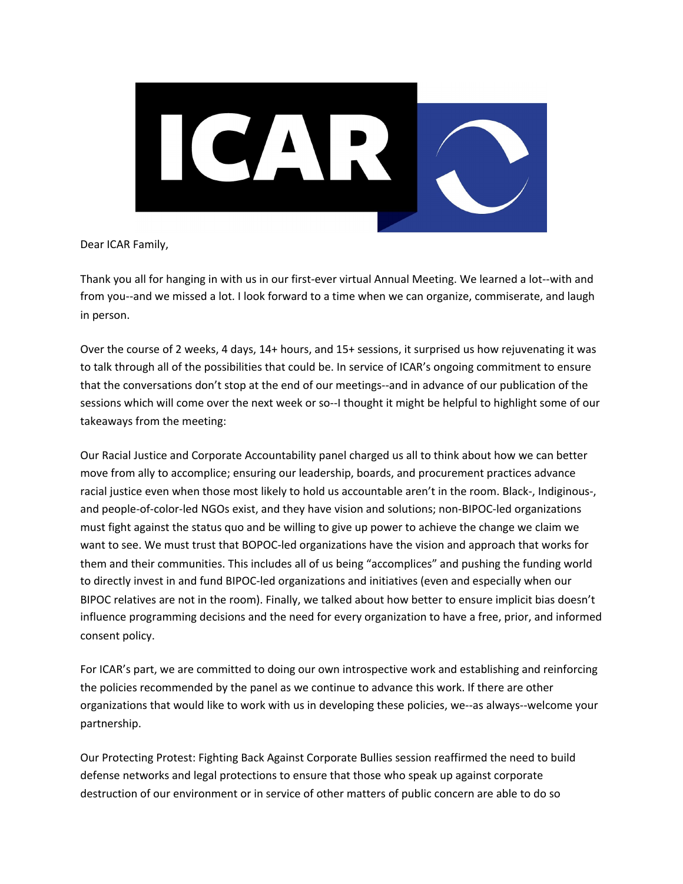

Dear ICAR Family,

Thank you all for hanging in with us in our first-ever virtual Annual Meeting. We learned a lot--with and from you--and we missed a lot. I look forward to a time when we can organize, commiserate, and laugh in person.

Over the course of 2 weeks, 4 days, 14+ hours, and 15+ sessions, it surprised us how rejuvenating it was to talk through all of the possibilities that could be. In service of ICAR's ongoing commitment to ensure that the conversations don't stop at the end of our meetings--and in advance of our publication of the sessions which will come over the next week or so--I thought it might be helpful to highlight some of our takeaways from the meeting:

Our Racial Justice and Corporate Accountability panel charged us all to think about how we can better move from ally to accomplice; ensuring our leadership, boards, and procurement practices advance racial justice even when those most likely to hold us accountable aren't in the room. Black-, Indiginous-, and people-of-color-led NGOs exist, and they have vision and solutions; non-BIPOC-led organizations must fight against the status quo and be willing to give up power to achieve the change we claim we want to see. We must trust that BOPOC-led organizations have the vision and approach that works for them and their communities. This includes all of us being "accomplices" and pushing the funding world to directly invest in and fund BIPOC-led organizations and initiatives (even and especially when our BIPOC relatives are not in the room). Finally, we talked about how better to ensure implicit bias doesn't influence programming decisions and the need for every organization to have a free, prior, and informed consent policy.

For ICAR's part, we are committed to doing our own introspective work and establishing and reinforcing the policies recommended by the panel as we continue to advance this work. If there are other organizations that would like to work with us in developing these policies, we--as always--welcome your partnership.

Our Protecting Protest: Fighting Back Against Corporate Bullies session reaffirmed the need to build defense networks and legal protections to ensure that those who speak up against corporate destruction of our environment or in service of other matters of public concern are able to do so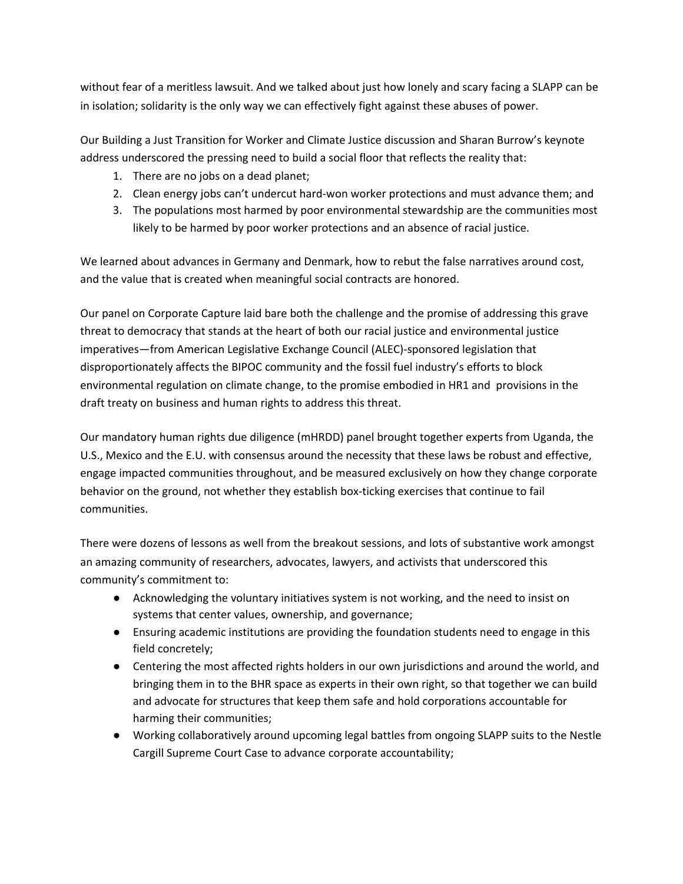without fear of a meritless lawsuit. And we talked about just how lonely and scary facing a SLAPP can be in isolation; solidarity is the only way we can effectively fight against these abuses of power.

Our Building a Just Transition for Worker and Climate Justice discussion and Sharan Burrow's keynote address underscored the pressing need to build a social floor that reflects the reality that:

- 1. There are no jobs on a dead planet;
- 2. Clean energy jobs can't undercut hard-won worker protections and must advance them; and
- 3. The populations most harmed by poor environmental stewardship are the communities most likely to be harmed by poor worker protections and an absence of racial justice.

We learned about advances in Germany and Denmark, how to rebut the false narratives around cost, and the value that is created when meaningful social contracts are honored.

Our panel on Corporate Capture laid bare both the challenge and the promise of addressing this grave threat to democracy that stands at the heart of both our racial justice and environmental justice imperatives—from American Legislative Exchange Council (ALEC)-sponsored legislation that disproportionately affects the BIPOC community and the fossil fuel industry's efforts to block environmental regulation on climate change, to the promise embodied in HR1 and provisions in the draft treaty on business and human rights to address this threat.

Our mandatory human rights due diligence (mHRDD) panel brought together experts from Uganda, the U.S., Mexico and the E.U. with consensus around the necessity that these laws be robust and effective, engage impacted communities throughout, and be measured exclusively on how they change corporate behavior on the ground, not whether they establish box-ticking exercises that continue to fail communities.

There were dozens of lessons as well from the breakout sessions, and lots of substantive work amongst an amazing community of researchers, advocates, lawyers, and activists that underscored this community's commitment to:

- Acknowledging the voluntary initiatives system is not working, and the need to insist on systems that center values, ownership, and governance;
- Ensuring academic institutions are providing the foundation students need to engage in this field concretely;
- Centering the most affected rights holders in our own jurisdictions and around the world, and bringing them in to the BHR space as experts in their own right, so that together we can build and advocate for structures that keep them safe and hold corporations accountable for harming their communities;
- Working collaboratively around upcoming legal battles from ongoing SLAPP suits to the Nestle Cargill Supreme Court Case to advance corporate accountability;